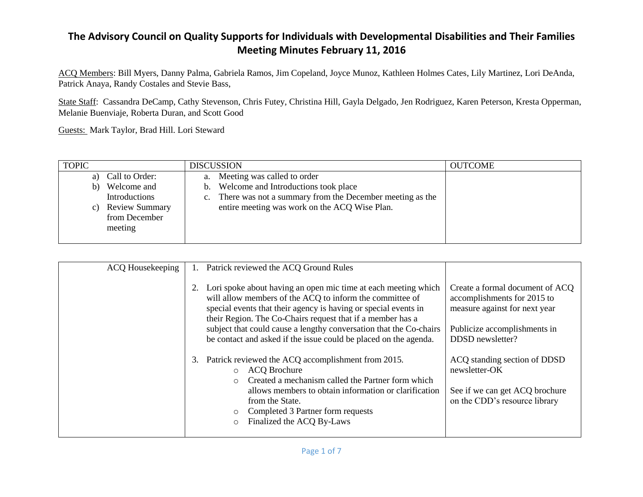ACQ Members: Bill Myers, Danny Palma, Gabriela Ramos, Jim Copeland, Joyce Munoz, Kathleen Holmes Cates, Lily Martinez, Lori DeAnda, Patrick Anaya, Randy Costales and Stevie Bass,

State Staff: Cassandra DeCamp, Cathy Stevenson, Chris Futey, Christina Hill, Gayla Delgado, Jen Rodriguez, Karen Peterson, Kresta Opperman, Melanie Buenviaje, Roberta Duran, and Scott Good

Guests: Mark Taylor, Brad Hill. Lori Steward

| <b>TOPIC</b> |                       | <b>DISCUSSION</b>                                           | <b>OUTCOME</b> |
|--------------|-----------------------|-------------------------------------------------------------|----------------|
|              | a) Call to Order:     | a. Meeting was called to order                              |                |
| b)           | Welcome and           | b. Welcome and Introductions took place                     |                |
|              | Introductions         | c. There was not a summary from the December meeting as the |                |
| C)           | <b>Review Summary</b> | entire meeting was work on the ACQ Wise Plan.               |                |
|              | from December         |                                                             |                |
|              | meeting               |                                                             |                |
|              |                       |                                                             |                |

| <b>ACQ</b> Housekeeping |    | Patrick reviewed the ACQ Ground Rules                                                                                                                                                                                                                                                                                                                                                                 |                                                                                                                                                     |
|-------------------------|----|-------------------------------------------------------------------------------------------------------------------------------------------------------------------------------------------------------------------------------------------------------------------------------------------------------------------------------------------------------------------------------------------------------|-----------------------------------------------------------------------------------------------------------------------------------------------------|
|                         | 2. | Lori spoke about having an open mic time at each meeting which<br>will allow members of the ACQ to inform the committee of<br>special events that their agency is having or special events in<br>their Region. The Co-Chairs request that if a member has a<br>subject that could cause a lengthy conversation that the Co-chairs<br>be contact and asked if the issue could be placed on the agenda. | Create a formal document of ACQ<br>accomplishments for 2015 to<br>measure against for next year<br>Publicize accomplishments in<br>DDSD newsletter? |
|                         | 3. | Patrick reviewed the ACQ accomplishment from 2015.<br><b>ACQ Brochure</b><br>$\circ$<br>Created a mechanism called the Partner form which<br>$\bigcirc$<br>allows members to obtain information or clarification<br>from the State.<br>Completed 3 Partner form requests<br>$\circ$<br>Finalized the ACQ By-Laws<br>$\circ$                                                                           | ACQ standing section of DDSD<br>newsletter-OK<br>See if we can get ACQ brochure<br>on the CDD's resource library                                    |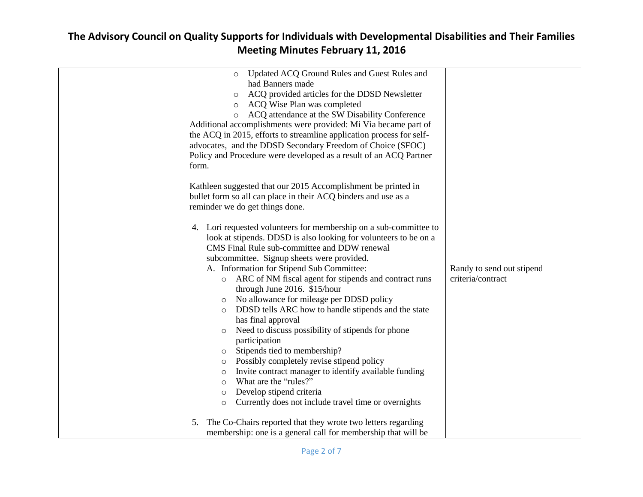| <b>Meeting Minutes February 11, 2016</b>                                                                                                                                                                                                                                                                                                                                                                                                                                                                                                                                                                                                                                                                                                                                                                                                                                                                                                                                                                                                                                                                                                                                                                                                                                                                                                                                                                                                                                                                                                                                                                                                                                                                                                          |                                                |
|---------------------------------------------------------------------------------------------------------------------------------------------------------------------------------------------------------------------------------------------------------------------------------------------------------------------------------------------------------------------------------------------------------------------------------------------------------------------------------------------------------------------------------------------------------------------------------------------------------------------------------------------------------------------------------------------------------------------------------------------------------------------------------------------------------------------------------------------------------------------------------------------------------------------------------------------------------------------------------------------------------------------------------------------------------------------------------------------------------------------------------------------------------------------------------------------------------------------------------------------------------------------------------------------------------------------------------------------------------------------------------------------------------------------------------------------------------------------------------------------------------------------------------------------------------------------------------------------------------------------------------------------------------------------------------------------------------------------------------------------------|------------------------------------------------|
| Updated ACQ Ground Rules and Guest Rules and<br>$\circ$<br>had Banners made<br>ACQ provided articles for the DDSD Newsletter<br>o ACQ Wise Plan was completed<br>o ACQ attendance at the SW Disability Conference<br>Additional accomplishments were provided: Mi Via became part of<br>the ACQ in 2015, efforts to streamline application process for self-<br>advocates, and the DDSD Secondary Freedom of Choice (SFOC)<br>Policy and Procedure were developed as a result of an ACQ Partner<br>form.<br>Kathleen suggested that our 2015 Accomplishment be printed in<br>bullet form so all can place in their ACQ binders and use as a<br>reminder we do get things done.<br>4. Lori requested volunteers for membership on a sub-committee to<br>look at stipends. DDSD is also looking for volunteers to be on a<br>CMS Final Rule sub-committee and DDW renewal<br>subcommittee. Signup sheets were provided.<br>A. Information for Stipend Sub Committee:<br>ARC of NM fiscal agent for stipends and contract runs<br>$\circ$<br>through June 2016. \$15/hour<br>No allowance for mileage per DDSD policy<br>O<br>DDSD tells ARC how to handle stipends and the state<br>has final approval<br>Need to discuss possibility of stipends for phone<br>$\circ$<br>participation<br>Stipends tied to membership?<br>$\circ$<br>Possibly completely revise stipend policy<br>$\circ$<br>Invite contract manager to identify available funding<br>$\circ$<br>What are the "rules?"<br>$\circ$<br>Develop stipend criteria<br>$\circ$<br>Currently does not include travel time or overnights<br>$\circ$<br>The Co-Chairs reported that they wrote two letters regarding<br>5.<br>membership: one is a general call for membership that will be | Randy to send out stipend<br>criteria/contract |

# **The Advisory Council on Quality Supports for Individuals with Developmental Disabilities and Their Families**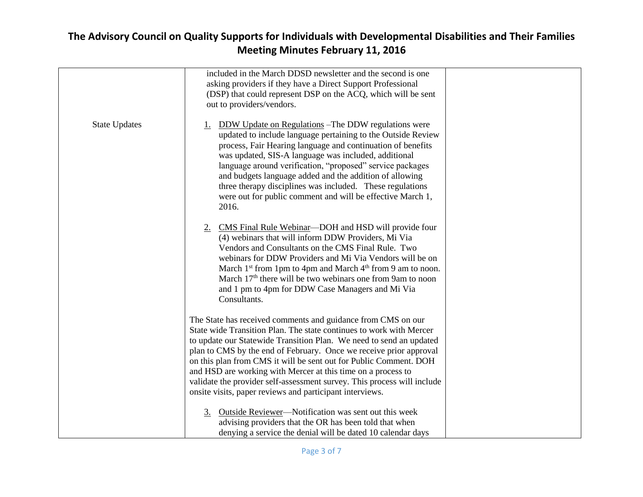|                      | included in the March DDSD newsletter and the second is one<br>asking providers if they have a Direct Support Professional<br>(DSP) that could represent DSP on the ACQ, which will be sent<br>out to providers/vendors.                                                                                                                                                                                                                                                                                                                                     |
|----------------------|--------------------------------------------------------------------------------------------------------------------------------------------------------------------------------------------------------------------------------------------------------------------------------------------------------------------------------------------------------------------------------------------------------------------------------------------------------------------------------------------------------------------------------------------------------------|
| <b>State Updates</b> | 1. DDW Update on Regulations – The DDW regulations were<br>updated to include language pertaining to the Outside Review<br>process, Fair Hearing language and continuation of benefits<br>was updated, SIS-A language was included, additional<br>language around verification, "proposed" service packages<br>and budgets language added and the addition of allowing<br>three therapy disciplines was included. These regulations<br>were out for public comment and will be effective March 1,<br>2016.                                                   |
|                      | 2. CMS Final Rule Webinar—DOH and HSD will provide four<br>(4) webinars that will inform DDW Providers, Mi Via<br>Vendors and Consultants on the CMS Final Rule. Two<br>webinars for DDW Providers and Mi Via Vendors will be on<br>March $1st$ from 1pm to 4pm and March $4th$ from 9 am to noon.<br>March 17 <sup>th</sup> there will be two webinars one from 9am to noon<br>and 1 pm to 4pm for DDW Case Managers and Mi Via<br>Consultants.                                                                                                             |
|                      | The State has received comments and guidance from CMS on our<br>State wide Transition Plan. The state continues to work with Mercer<br>to update our Statewide Transition Plan. We need to send an updated<br>plan to CMS by the end of February. Once we receive prior approval<br>on this plan from CMS it will be sent out for Public Comment. DOH<br>and HSD are working with Mercer at this time on a process to<br>validate the provider self-assessment survey. This process will include<br>onsite visits, paper reviews and participant interviews. |
|                      | 3. Outside Reviewer—Notification was sent out this week<br>advising providers that the OR has been told that when<br>denying a service the denial will be dated 10 calendar days                                                                                                                                                                                                                                                                                                                                                                             |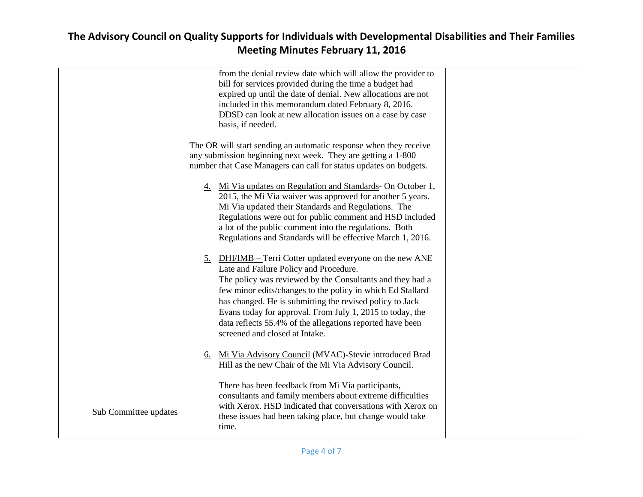|                       | from the denial review date which will allow the provider to<br>bill for services provided during the time a budget had<br>expired up until the date of denial. New allocations are not<br>included in this memorandum dated February 8, 2016.<br>DDSD can look at new allocation issues on a case by case<br>basis, if needed.                                                                                                                                         |  |
|-----------------------|-------------------------------------------------------------------------------------------------------------------------------------------------------------------------------------------------------------------------------------------------------------------------------------------------------------------------------------------------------------------------------------------------------------------------------------------------------------------------|--|
|                       | The OR will start sending an automatic response when they receive<br>any submission beginning next week. They are getting a 1-800<br>number that Case Managers can call for status updates on budgets.                                                                                                                                                                                                                                                                  |  |
|                       | 4. Mi Via updates on Regulation and Standards- On October 1,<br>2015, the Mi Via waiver was approved for another 5 years.<br>Mi Via updated their Standards and Regulations. The<br>Regulations were out for public comment and HSD included<br>a lot of the public comment into the regulations. Both<br>Regulations and Standards will be effective March 1, 2016.                                                                                                    |  |
|                       | <b>DHI/IMB</b> – Terri Cotter updated everyone on the new ANE<br><u>5.</u><br>Late and Failure Policy and Procedure.<br>The policy was reviewed by the Consultants and they had a<br>few minor edits/changes to the policy in which Ed Stallard<br>has changed. He is submitting the revised policy to Jack<br>Evans today for approval. From July 1, 2015 to today, the<br>data reflects 55.4% of the allegations reported have been<br>screened and closed at Intake. |  |
|                       | 6. Mi Via Advisory Council (MVAC)-Stevie introduced Brad<br>Hill as the new Chair of the Mi Via Advisory Council.                                                                                                                                                                                                                                                                                                                                                       |  |
| Sub Committee updates | There has been feedback from Mi Via participants,<br>consultants and family members about extreme difficulties<br>with Xerox. HSD indicated that conversations with Xerox on<br>these issues had been taking place, but change would take<br>time.                                                                                                                                                                                                                      |  |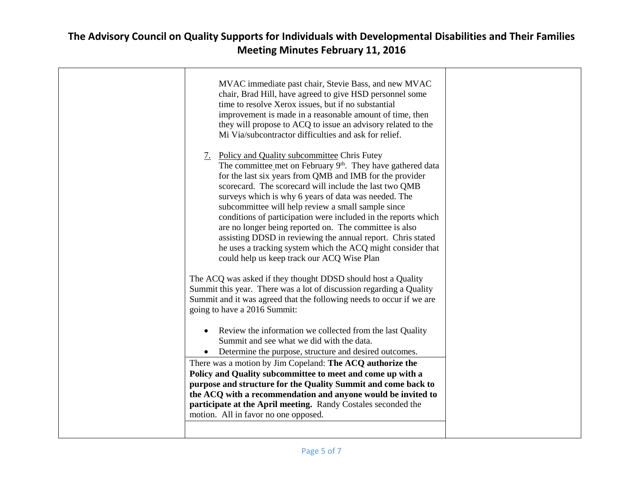| MVAC immediate past chair, Stevie Bass, and new MVAC<br>chair, Brad Hill, have agreed to give HSD personnel some<br>time to resolve Xerox issues, but if no substantial<br>improvement is made in a reasonable amount of time, then<br>they will propose to ACQ to issue an advisory related to the<br>Mi Via/subcontractor difficulties and ask for relief.                                                                                                                                                                                                                                                                                                                                                                          |  |
|---------------------------------------------------------------------------------------------------------------------------------------------------------------------------------------------------------------------------------------------------------------------------------------------------------------------------------------------------------------------------------------------------------------------------------------------------------------------------------------------------------------------------------------------------------------------------------------------------------------------------------------------------------------------------------------------------------------------------------------|--|
| 7. Policy and Quality subcommittee Chris Futey<br>The committee met on February 9 <sup>th</sup> . They have gathered data<br>for the last six years from QMB and IMB for the provider<br>scorecard. The scorecard will include the last two QMB<br>surveys which is why 6 years of data was needed. The<br>subcommittee will help review a small sample since<br>conditions of participation were included in the reports which<br>are no longer being reported on. The committee is also<br>assisting DDSD in reviewing the annual report. Chris stated<br>he uses a tracking system which the ACQ might consider that<br>could help us keep track our ACQ Wise Plan<br>The ACQ was asked if they thought DDSD should host a Quality |  |
| Summit this year. There was a lot of discussion regarding a Quality<br>Summit and it was agreed that the following needs to occur if we are<br>going to have a 2016 Summit:                                                                                                                                                                                                                                                                                                                                                                                                                                                                                                                                                           |  |
| Review the information we collected from the last Quality<br>Summit and see what we did with the data.<br>Determine the purpose, structure and desired outcomes.<br>There was a motion by Jim Copeland: The ACQ authorize the<br>Policy and Quality subcommittee to meet and come up with a<br>purpose and structure for the Quality Summit and come back to<br>the ACQ with a recommendation and anyone would be invited to<br>participate at the April meeting. Randy Costales seconded the<br>motion. All in favor no one opposed.                                                                                                                                                                                                 |  |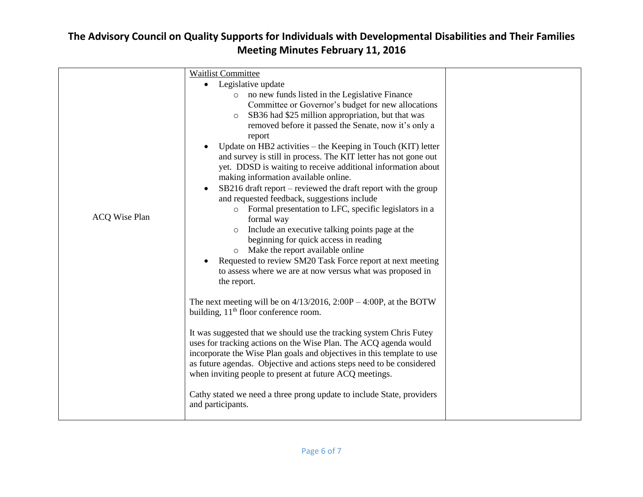| <b>ACQ Wise Plan</b> | <b>Waitlist Committee</b><br>Legislative update<br>$\bullet$<br>o no new funds listed in the Legislative Finance<br>Committee or Governor's budget for new allocations<br>SB36 had \$25 million appropriation, but that was<br>removed before it passed the Senate, now it's only a<br>report<br>Update on HB2 activities – the Keeping in Touch (KIT) letter<br>and survey is still in process. The KIT letter has not gone out<br>yet. DDSD is waiting to receive additional information about<br>making information available online.<br>SB216 draft report – reviewed the draft report with the group<br>and requested feedback, suggestions include<br>Formal presentation to LFC, specific legislators in a<br>$\circ$<br>formal way<br>Include an executive talking points page at the<br>beginning for quick access in reading<br>Make the report available online<br>$\circ$<br>Requested to review SM20 Task Force report at next meeting<br>to assess where we are at now versus what was proposed in<br>the report.<br>The next meeting will be on $4/13/2016$ , $2:00P - 4:00P$ , at the BOTW<br>building, 11 <sup>th</sup> floor conference room.<br>It was suggested that we should use the tracking system Chris Futey<br>uses for tracking actions on the Wise Plan. The ACQ agenda would<br>incorporate the Wise Plan goals and objectives in this template to use<br>as future agendas. Objective and actions steps need to be considered<br>when inviting people to present at future ACQ meetings. |  |
|----------------------|-------------------------------------------------------------------------------------------------------------------------------------------------------------------------------------------------------------------------------------------------------------------------------------------------------------------------------------------------------------------------------------------------------------------------------------------------------------------------------------------------------------------------------------------------------------------------------------------------------------------------------------------------------------------------------------------------------------------------------------------------------------------------------------------------------------------------------------------------------------------------------------------------------------------------------------------------------------------------------------------------------------------------------------------------------------------------------------------------------------------------------------------------------------------------------------------------------------------------------------------------------------------------------------------------------------------------------------------------------------------------------------------------------------------------------------------------------------------------------------------------------------------------|--|
|                      | Cathy stated we need a three prong update to include State, providers<br>and participants.                                                                                                                                                                                                                                                                                                                                                                                                                                                                                                                                                                                                                                                                                                                                                                                                                                                                                                                                                                                                                                                                                                                                                                                                                                                                                                                                                                                                                              |  |